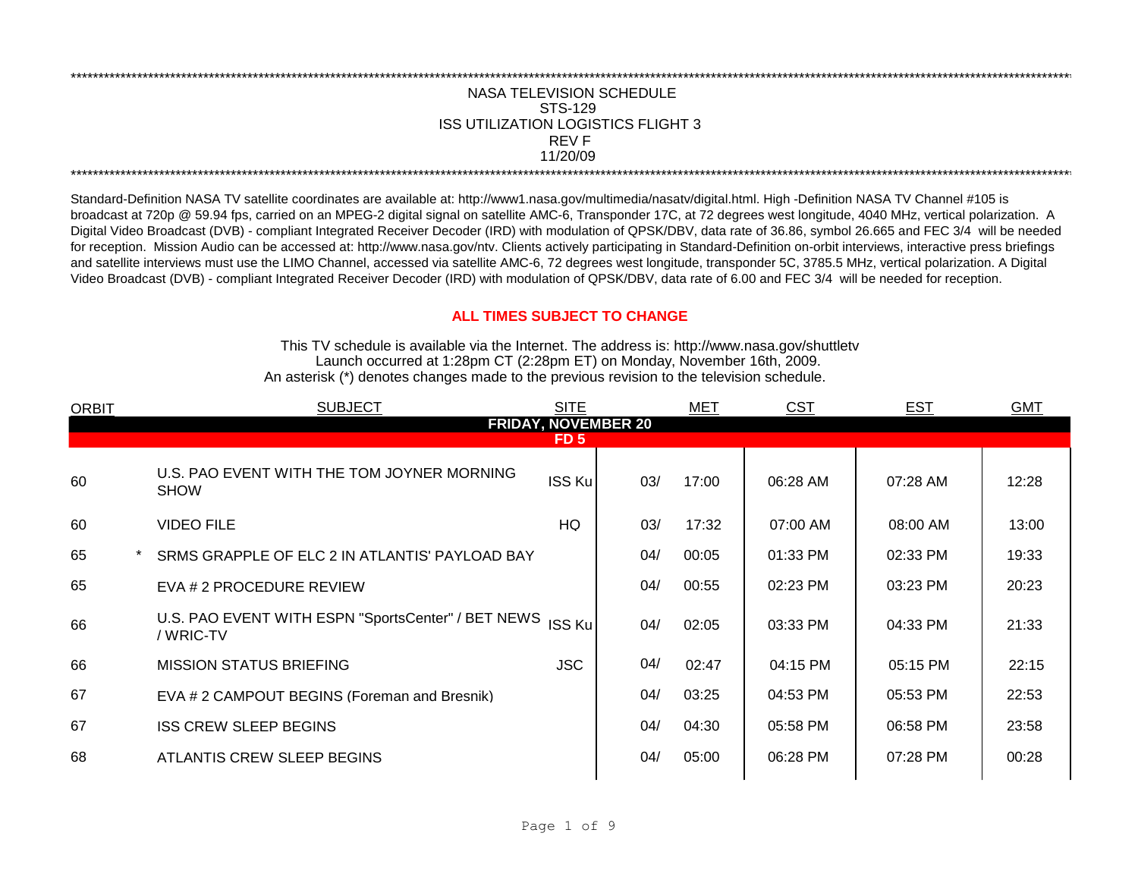## \*\*\*\*\*\*\*\*\*\*\*\*\*\*\*\*\*\*\*\*\*\*\*\*\*\*\*\*\*\*\*\*\*\*\*\*\*\*\*\*\*\*\*\*\*\*\*\*\*\*\*\*\*\*\*\*\*\*\*\*\*\*\*\*\*\*\*\*\*\*\*\*\*\*\*\*\*\*\*\*\*\*\*\*\*\*\*\*\*\*\*\*\*\*\*\*\*\*\*\*\*\*\*\*\*\*\*\*\*\*\*\*\*\*\*\*\*\*\*\*\*\*\*\*\*\*\*\*\*\*\*\*\*\*\*\*\*\*\*\*\*\*\*\*\*\*\*\*\*\*\*\*\*\*\*\*\*\*\*\*\*\*\*\*\*\*\*\*\*\*\*\*\*\*\*\*\*\*\*\*\*\*\*\*\* ISS UTILIZATION LOGISTICS FLIGHT 3 NASA TELEVISION SCHEDULE STS-129 REV F 11/20/09

\*\*\*\*\*\*\*\*\*\*\*\*\*\*\*\*\*\*\*\*\*\*\*\*\*\*\*\*\*\*\*\*\*\*\*\*\*\*\*\*\*\*\*\*\*\*\*\*\*\*\*\*\*\*\*\*\*\*\*\*\*\*\*\*\*\*\*\*\*\*\*\*\*\*\*\*\*\*\*\*\*\*\*\*\*\*\*\*\*\*\*\*\*\*\*\*\*\*\*\*\*\*\*\*\*\*\*\*\*\*\*\*\*\*\*\*\*\*\*\*\*\*\*\*\*\*\*\*\*\*\*\*\*\*\*\*\*\*\*\*\*\*\*\*\*\*\*\*\*\*\*\*\*\*\*\*\*\*\*\*\*\*\*\*\*\*\*\*\*\*\*\*\*\*\*\*\*\*\*\*\*\*\*\*\*

Standard-Definition NASA TV satellite coordinates are available at: http://www1.nasa.gov/multimedia/nasatv/digital.html. High -Definition NASA TV Channel #105 is broadcast at 720p @ 59.94 fps, carried on an MPEG-2 digital signal on satellite AMC-6, Transponder 17C, at 72 degrees west longitude, 4040 MHz, vertical polarization. A Digital Video Broadcast (DVB) - compliant Integrated Receiver Decoder (IRD) with modulation of QPSK/DBV, data rate of 36.86, symbol 26.665 and FEC 3/4 will be needed for reception. Mission Audio can be accessed at: http://www.nasa.gov/ntv. Clients actively participating in Standard-Definition on-orbit interviews, interactive press briefings and satellite interviews must use the LIMO Channel, accessed via satellite AMC-6, 72 degrees west longitude, transponder 5C, 3785.5 MHz, vertical polarization. A Digital Video Broadcast (DVB) - compliant Integrated Receiver Decoder (IRD) with modulation of QPSK/DBV, data rate of 6.00 and FEC 3/4 will be needed for reception.

## **ALL TIMES SUBJECT TO CHANGE**

Launch occurred at 1:28pm CT (2:28pm ET) on Monday, November 16th, 2009. An asterisk (\*) denotes changes made to the previous revision to the television schedule. This TV schedule is available via the Internet. The address is: http://www.nasa.gov/shuttletv

| <b>ORBIT</b> | <b>SUBJECT</b>                                                  | <b>SITE</b>                |     | <b>MET</b> | <b>CST</b> | <b>EST</b> | <b>GMT</b> |
|--------------|-----------------------------------------------------------------|----------------------------|-----|------------|------------|------------|------------|
|              |                                                                 | <b>FRIDAY, NOVEMBER 20</b> |     |            |            |            |            |
|              |                                                                 | FD <sub>5</sub>            |     |            |            |            |            |
| 60           | U.S. PAO EVENT WITH THE TOM JOYNER MORNING<br><b>SHOW</b>       | <b>ISS Ku</b>              | 03/ | 17:00      | 06:28 AM   | 07:28 AM   | 12:28      |
| 60           | <b>VIDEO FILE</b>                                               | HQ                         | 03/ | 17:32      | 07:00 AM   | 08:00 AM   | 13:00      |
| 65           | SRMS GRAPPLE OF ELC 2 IN ATLANTIS' PAYLOAD BAY                  |                            | 04/ | 00:05      | 01:33 PM   | 02:33 PM   | 19:33      |
| 65           | EVA # 2 PROCEDURE REVIEW                                        |                            | 04/ | 00:55      | 02:23 PM   | 03:23 PM   | 20:23      |
| 66           | U.S. PAO EVENT WITH ESPN "SportsCenter" / BET NEWS<br>/ WRIC-TV | <b>ISS Ku</b>              | 04/ | 02:05      | 03:33 PM   | 04:33 PM   | 21:33      |
| 66           | <b>MISSION STATUS BRIEFING</b>                                  | <b>JSC</b>                 | 04/ | 02:47      | 04:15 PM   | $05:15$ PM | 22:15      |
| 67           | EVA # 2 CAMPOUT BEGINS (Foreman and Bresnik)                    |                            | 04/ | 03:25      | 04:53 PM   | 05:53 PM   | 22:53      |
| 67           | <b>ISS CREW SLEEP BEGINS</b>                                    |                            | 04/ | 04:30      | 05:58 PM   | 06:58 PM   | 23:58      |
| 68           | ATLANTIS CREW SLEEP BEGINS                                      |                            | 04/ | 05:00      | 06:28 PM   | 07:28 PM   | 00:28      |
|              |                                                                 |                            |     |            |            |            |            |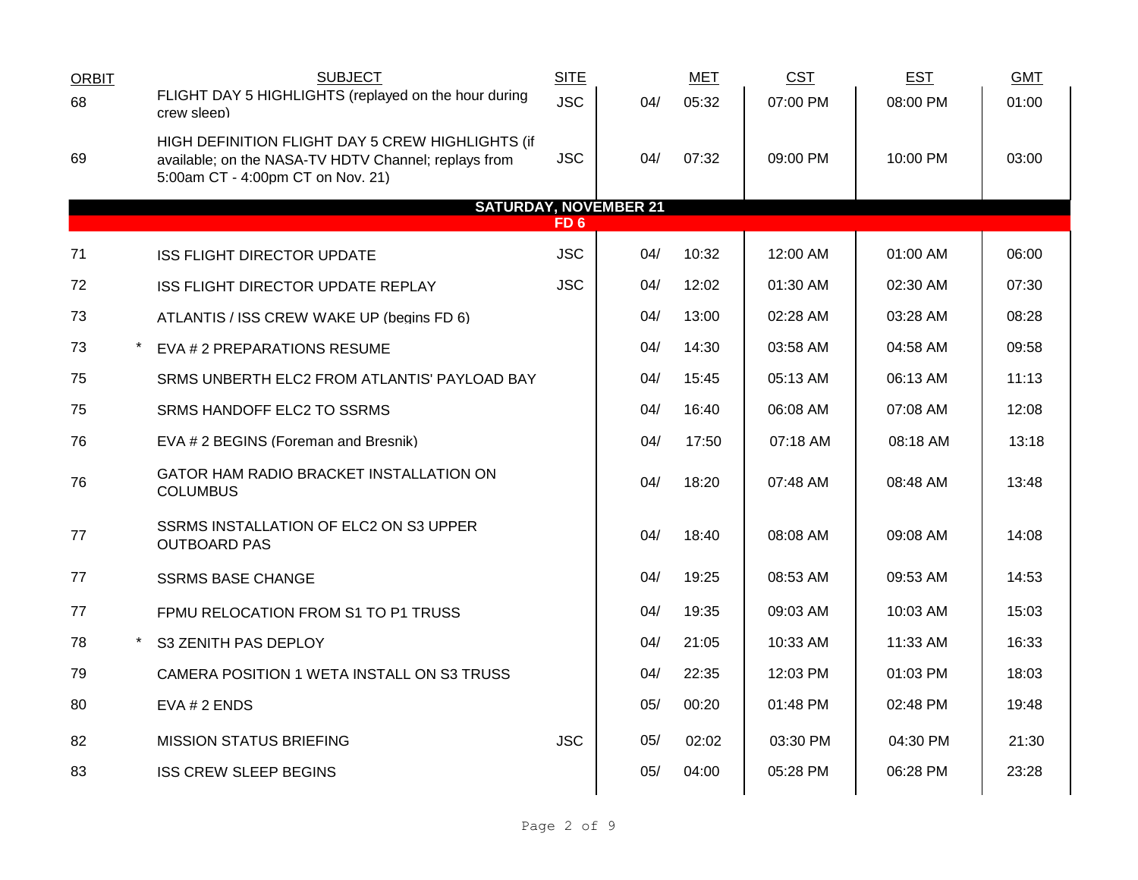| <b>ORBIT</b> | <b>SUBJECT</b>                                                                                                                                | <b>SITE</b> |     | <b>MET</b> | <b>CST</b> | <b>EST</b> | <b>GMT</b> |
|--------------|-----------------------------------------------------------------------------------------------------------------------------------------------|-------------|-----|------------|------------|------------|------------|
| 68           | FLIGHT DAY 5 HIGHLIGHTS (replayed on the hour during<br>crew sleep)                                                                           | <b>JSC</b>  | 04/ | 05:32      | 07:00 PM   | 08:00 PM   | 01:00      |
| 69           | HIGH DEFINITION FLIGHT DAY 5 CREW HIGHLIGHTS (if<br>available; on the NASA-TV HDTV Channel; replays from<br>5:00am CT - 4:00pm CT on Nov. 21) | <b>JSC</b>  | 04/ | 07:32      | 09:00 PM   | 10:00 PM   | 03:00      |
|              | <b>SATURDAY, NOVEMBER 21</b>                                                                                                                  | FD 6        |     |            |            |            |            |
|              |                                                                                                                                               |             |     |            |            |            |            |
| 71           | <b>ISS FLIGHT DIRECTOR UPDATE</b>                                                                                                             | <b>JSC</b>  | 04/ | 10:32      | 12:00 AM   | 01:00 AM   | 06:00      |
| 72           | ISS FLIGHT DIRECTOR UPDATE REPLAY                                                                                                             | <b>JSC</b>  | 04/ | 12:02      | 01:30 AM   | 02:30 AM   | 07:30      |
| 73           | ATLANTIS / ISS CREW WAKE UP (begins FD 6)                                                                                                     |             | 04/ | 13:00      | 02:28 AM   | 03:28 AM   | 08:28      |
| 73           | EVA # 2 PREPARATIONS RESUME                                                                                                                   |             | 04/ | 14:30      | 03:58 AM   | 04:58 AM   | 09:58      |
| 75           | SRMS UNBERTH ELC2 FROM ATLANTIS' PAYLOAD BAY                                                                                                  |             | 04/ | 15:45      | 05:13 AM   | 06:13 AM   | 11:13      |
| 75           | SRMS HANDOFF ELC2 TO SSRMS                                                                                                                    |             | 04/ | 16:40      | 06:08 AM   | 07:08 AM   | 12:08      |
| 76           | EVA # 2 BEGINS (Foreman and Bresnik)                                                                                                          |             | 04/ | 17:50      | 07:18 AM   | 08:18 AM   | 13:18      |
| 76           | GATOR HAM RADIO BRACKET INSTALLATION ON<br><b>COLUMBUS</b>                                                                                    |             | 04/ | 18:20      | 07:48 AM   | 08:48 AM   | 13:48      |
| 77           | SSRMS INSTALLATION OF ELC2 ON S3 UPPER<br><b>OUTBOARD PAS</b>                                                                                 |             | 04/ | 18:40      | 08:08 AM   | 09:08 AM   | 14:08      |
| 77           | <b>SSRMS BASE CHANGE</b>                                                                                                                      |             | 04/ | 19:25      | 08:53 AM   | 09:53 AM   | 14:53      |
| 77           | FPMU RELOCATION FROM S1 TO P1 TRUSS                                                                                                           |             | 04/ | 19:35      | 09:03 AM   | 10:03 AM   | 15:03      |
| 78<br>$\ast$ | S3 ZENITH PAS DEPLOY                                                                                                                          |             | 04/ | 21:05      | 10:33 AM   | 11:33 AM   | 16:33      |
| 79           | CAMERA POSITION 1 WETA INSTALL ON S3 TRUSS                                                                                                    |             | 04/ | 22:35      | 12:03 PM   | 01:03 PM   | 18:03      |
| 80           | $EVA # 2$ ENDS                                                                                                                                |             | 05/ | 00:20      | 01:48 PM   | 02:48 PM   | 19:48      |
| 82           | <b>MISSION STATUS BRIEFING</b>                                                                                                                | <b>JSC</b>  | 05/ | 02:02      | 03:30 PM   | 04:30 PM   | 21:30      |
| 83           | <b>ISS CREW SLEEP BEGINS</b>                                                                                                                  |             | 05/ | 04:00      | 05:28 PM   | 06:28 PM   | 23:28      |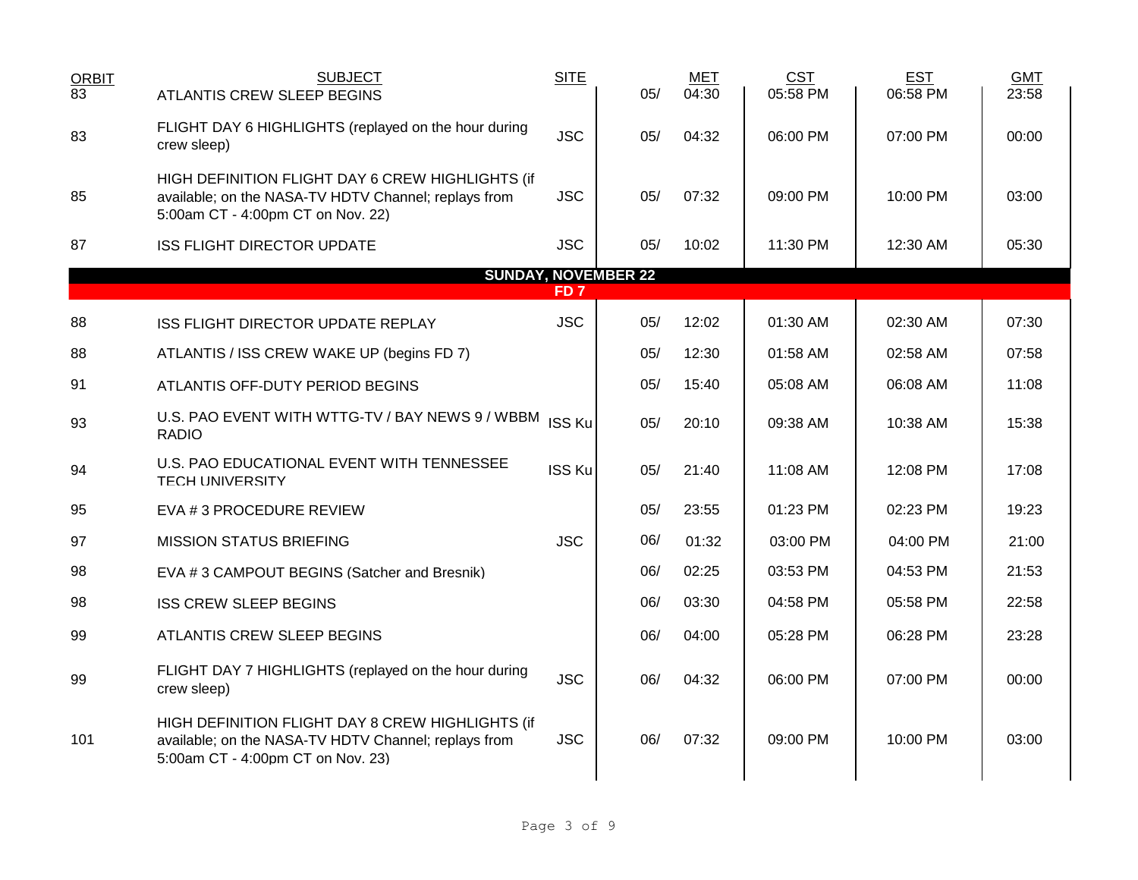| <b>ORBIT</b><br>$\overline{83}$               | <b>SUBJECT</b><br>ATLANTIS CREW SLEEP BEGINS                                                                                                  | <b>SITE</b>   | 05/ | MET<br>04:30 | <b>CST</b><br>05:58 PM | <b>EST</b><br>06:58 PM | <b>GMT</b><br>23:58 |  |  |  |
|-----------------------------------------------|-----------------------------------------------------------------------------------------------------------------------------------------------|---------------|-----|--------------|------------------------|------------------------|---------------------|--|--|--|
| 83                                            | FLIGHT DAY 6 HIGHLIGHTS (replayed on the hour during<br>crew sleep)                                                                           | <b>JSC</b>    | 05/ | 04:32        | 06:00 PM               | 07:00 PM               | 00:00               |  |  |  |
| 85                                            | HIGH DEFINITION FLIGHT DAY 6 CREW HIGHLIGHTS (if<br>available; on the NASA-TV HDTV Channel; replays from<br>5:00am CT - 4:00pm CT on Nov. 22) | <b>JSC</b>    | 05/ | 07:32        | 09:00 PM               | 10:00 PM               | 03:00               |  |  |  |
| 87                                            | <b>ISS FLIGHT DIRECTOR UPDATE</b>                                                                                                             | <b>JSC</b>    | 05/ | 10:02        | 11:30 PM               | 12:30 AM               | 05:30               |  |  |  |
| <b>SUNDAY, NOVEMBER 22</b><br>FD <sub>7</sub> |                                                                                                                                               |               |     |              |                        |                        |                     |  |  |  |
| 88                                            | ISS FLIGHT DIRECTOR UPDATE REPLAY                                                                                                             | <b>JSC</b>    | 05/ | 12:02        | 01:30 AM               | 02:30 AM               | 07:30               |  |  |  |
| 88                                            | ATLANTIS / ISS CREW WAKE UP (begins FD 7)                                                                                                     |               | 05/ | 12:30        | 01:58 AM               | 02:58 AM               | 07:58               |  |  |  |
| 91                                            | ATLANTIS OFF-DUTY PERIOD BEGINS                                                                                                               |               | 05/ | 15:40        | 05:08 AM               | 06:08 AM               | 11:08               |  |  |  |
| 93                                            | U.S. PAO EVENT WITH WTTG-TV / BAY NEWS 9 / WBBM ISS Ku<br><b>RADIO</b>                                                                        |               | 05/ | 20:10        | 09:38 AM               | 10:38 AM               | 15:38               |  |  |  |
| 94                                            | U.S. PAO EDUCATIONAL EVENT WITH TENNESSEE<br><b>TECH UNIVERSITY</b>                                                                           | <b>ISS Ku</b> | 05/ | 21:40        | 11:08 AM               | 12:08 PM               | 17:08               |  |  |  |
| 95                                            | EVA # 3 PROCEDURE REVIEW                                                                                                                      |               | 05/ | 23:55        | 01:23 PM               | 02:23 PM               | 19:23               |  |  |  |
| 97                                            | <b>MISSION STATUS BRIEFING</b>                                                                                                                | <b>JSC</b>    | 06/ | 01:32        | 03:00 PM               | 04:00 PM               | 21:00               |  |  |  |
| 98                                            | EVA #3 CAMPOUT BEGINS (Satcher and Bresnik)                                                                                                   |               | 06/ | 02:25        | 03:53 PM               | 04:53 PM               | 21:53               |  |  |  |
| 98                                            | <b>ISS CREW SLEEP BEGINS</b>                                                                                                                  |               | 06/ | 03:30        | 04:58 PM               | 05:58 PM               | 22:58               |  |  |  |
| 99                                            | ATLANTIS CREW SLEEP BEGINS                                                                                                                    |               | 06/ | 04:00        | 05:28 PM               | 06:28 PM               | 23:28               |  |  |  |
| 99                                            | FLIGHT DAY 7 HIGHLIGHTS (replayed on the hour during<br>crew sleep)                                                                           | <b>JSC</b>    | 06/ | 04:32        | 06:00 PM               | 07:00 PM               | 00:00               |  |  |  |
| 101                                           | HIGH DEFINITION FLIGHT DAY 8 CREW HIGHLIGHTS (if<br>available; on the NASA-TV HDTV Channel; replays from<br>5:00am CT - 4:00pm CT on Nov. 23) | <b>JSC</b>    | 06/ | 07:32        | 09:00 PM               | 10:00 PM               | 03:00               |  |  |  |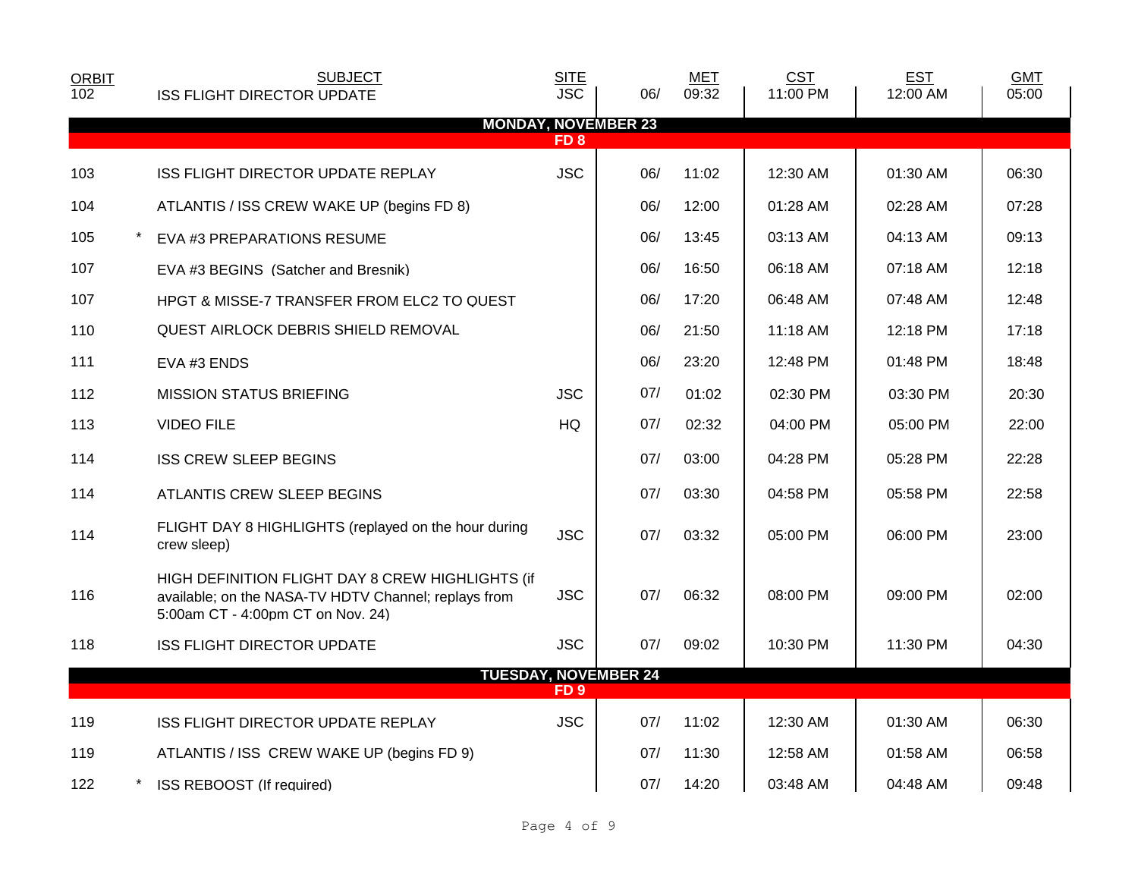| <b>ORBIT</b><br>102 | <b>SUBJECT</b>                                                                                                                                | <b>SITE</b><br><b>JSC</b> |                             | <b>MET</b><br>09:32 | <b>CST</b> | <b>EST</b> | <b>GMT</b> |
|---------------------|-----------------------------------------------------------------------------------------------------------------------------------------------|---------------------------|-----------------------------|---------------------|------------|------------|------------|
|                     | <b>ISS FLIGHT DIRECTOR UPDATE</b>                                                                                                             |                           | 06/                         |                     | 11:00 PM   | 12:00 AM   | 05:00      |
|                     |                                                                                                                                               | FD <sub>8</sub>           | <b>MONDAY, NOVEMBER 23</b>  |                     |            |            |            |
| 103                 | ISS FLIGHT DIRECTOR UPDATE REPLAY                                                                                                             | <b>JSC</b>                | 06/                         | 11:02               | 12:30 AM   | 01:30 AM   | 06:30      |
| 104                 | ATLANTIS / ISS CREW WAKE UP (begins FD 8)                                                                                                     |                           | 06/                         | 12:00               | 01:28 AM   | 02:28 AM   | 07:28      |
| 105                 | EVA #3 PREPARATIONS RESUME                                                                                                                    |                           | 06/                         | 13:45               | 03:13 AM   | 04:13 AM   | 09:13      |
| 107                 | EVA #3 BEGINS (Satcher and Bresnik)                                                                                                           |                           | 06/                         | 16:50               | 06:18 AM   | 07:18 AM   | 12:18      |
| 107                 | HPGT & MISSE-7 TRANSFER FROM ELC2 TO QUEST                                                                                                    |                           | 06/                         | 17:20               | 06:48 AM   | 07:48 AM   | 12:48      |
| 110                 | <b>QUEST AIRLOCK DEBRIS SHIELD REMOVAL</b>                                                                                                    |                           | 06/                         | 21:50               | $11:18$ AM | 12:18 PM   | 17:18      |
| 111                 | EVA #3 ENDS                                                                                                                                   |                           | 06/                         | 23:20               | 12:48 PM   | 01:48 PM   | 18:48      |
| 112                 | <b>MISSION STATUS BRIEFING</b>                                                                                                                | <b>JSC</b>                | 07/                         | 01:02               | 02:30 PM   | 03:30 PM   | 20:30      |
| 113                 | <b>VIDEO FILE</b>                                                                                                                             | <b>HQ</b>                 | 07/                         | 02:32               | 04:00 PM   | 05:00 PM   | 22:00      |
| 114                 | <b>ISS CREW SLEEP BEGINS</b>                                                                                                                  |                           | 07/                         | 03:00               | 04:28 PM   | 05:28 PM   | 22:28      |
| 114                 | ATLANTIS CREW SLEEP BEGINS                                                                                                                    |                           | 07/                         | 03:30               | 04:58 PM   | 05:58 PM   | 22:58      |
| 114                 | FLIGHT DAY 8 HIGHLIGHTS (replayed on the hour during<br>crew sleep)                                                                           | <b>JSC</b>                | 07/                         | 03:32               | 05:00 PM   | 06:00 PM   | 23:00      |
| 116                 | HIGH DEFINITION FLIGHT DAY 8 CREW HIGHLIGHTS (if<br>available; on the NASA-TV HDTV Channel; replays from<br>5:00am CT - 4:00pm CT on Nov. 24) | <b>JSC</b>                | 07/                         | 06:32               | 08:00 PM   | 09:00 PM   | 02:00      |
| 118                 | <b>ISS FLIGHT DIRECTOR UPDATE</b>                                                                                                             | <b>JSC</b>                | 07/                         | 09:02               | 10:30 PM   | 11:30 PM   | 04:30      |
|                     |                                                                                                                                               | FD <sub>9</sub>           | <b>TUESDAY, NOVEMBER 24</b> |                     |            |            |            |
|                     |                                                                                                                                               |                           |                             |                     |            |            |            |
| 119                 | ISS FLIGHT DIRECTOR UPDATE REPLAY                                                                                                             | <b>JSC</b>                | 07/                         | 11:02               | 12:30 AM   | 01:30 AM   | 06:30      |
| 119                 | ATLANTIS / ISS CREW WAKE UP (begins FD 9)                                                                                                     |                           | 07/                         | 11:30               | 12:58 AM   | 01:58 AM   | 06:58      |
| 122                 | ISS REBOOST (If required)                                                                                                                     |                           | 07/                         | 14:20               | 03:48 AM   | 04:48 AM   | 09:48      |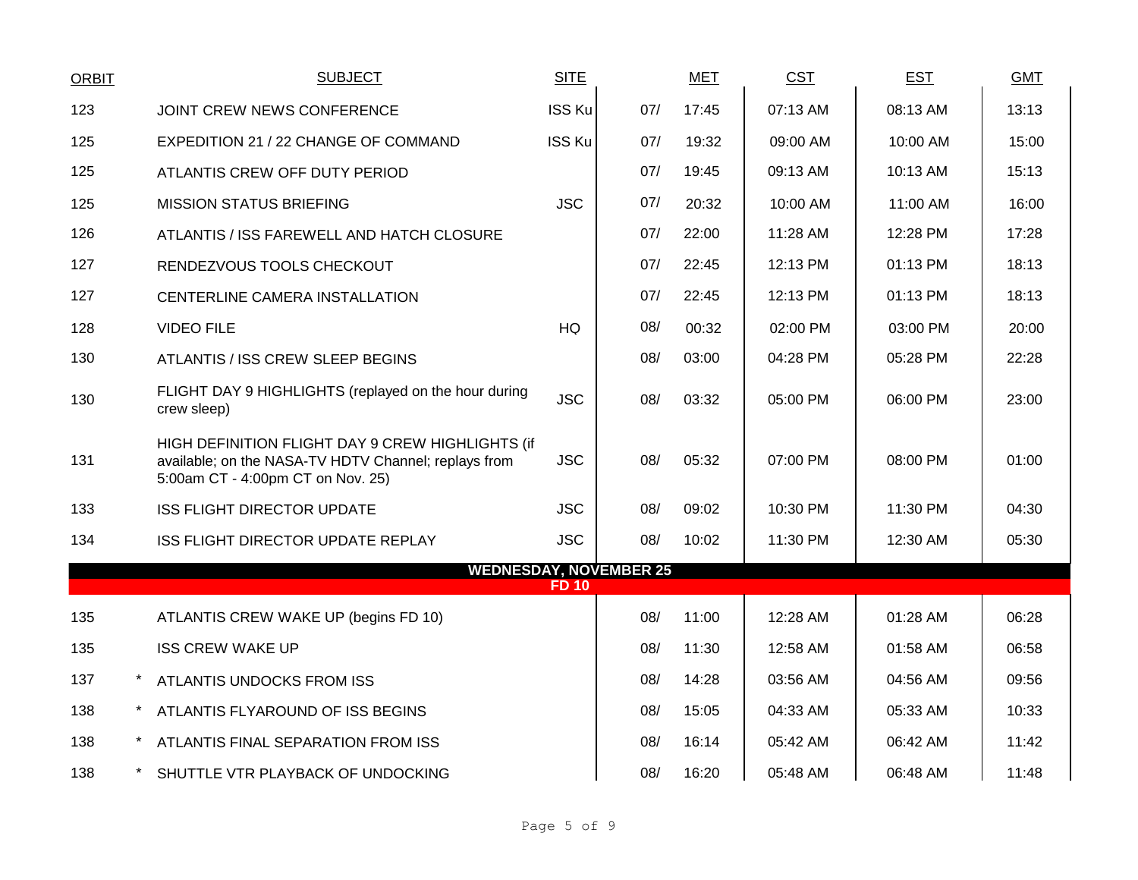| <b>ORBIT</b> | <b>SUBJECT</b>                                                                                                                                | <b>SITE</b>   |     | <b>MET</b> | CST      | <b>EST</b> | <b>GMT</b> |
|--------------|-----------------------------------------------------------------------------------------------------------------------------------------------|---------------|-----|------------|----------|------------|------------|
| 123          | JOINT CREW NEWS CONFERENCE                                                                                                                    | <b>ISS Ku</b> | 07/ | 17:45      | 07:13 AM | 08:13 AM   | 13:13      |
| 125          | EXPEDITION 21 / 22 CHANGE OF COMMAND                                                                                                          | <b>ISS Ku</b> | 07/ | 19:32      | 09:00 AM | 10:00 AM   | 15:00      |
| 125          | ATLANTIS CREW OFF DUTY PERIOD                                                                                                                 |               | 07/ | 19:45      | 09:13 AM | 10:13 AM   | 15:13      |
| 125          | <b>MISSION STATUS BRIEFING</b>                                                                                                                | <b>JSC</b>    | 07/ | 20:32      | 10:00 AM | 11:00 AM   | 16:00      |
| 126          | ATLANTIS / ISS FAREWELL AND HATCH CLOSURE                                                                                                     |               | 07/ | 22:00      | 11:28 AM | 12:28 PM   | 17:28      |
| 127          | RENDEZVOUS TOOLS CHECKOUT                                                                                                                     |               | 07/ | 22:45      | 12:13 PM | 01:13 PM   | 18:13      |
| 127          | CENTERLINE CAMERA INSTALLATION                                                                                                                |               | 07/ | 22:45      | 12:13 PM | 01:13 PM   | 18:13      |
| 128          | <b>VIDEO FILE</b>                                                                                                                             | HQ            | 08/ | 00:32      | 02:00 PM | 03:00 PM   | 20:00      |
| 130          | ATLANTIS / ISS CREW SLEEP BEGINS                                                                                                              |               | 08/ | 03:00      | 04:28 PM | 05:28 PM   | 22:28      |
| 130          | FLIGHT DAY 9 HIGHLIGHTS (replayed on the hour during<br>crew sleep)                                                                           | <b>JSC</b>    | 08/ | 03:32      | 05:00 PM | 06:00 PM   | 23:00      |
| 131          | HIGH DEFINITION FLIGHT DAY 9 CREW HIGHLIGHTS (if<br>available; on the NASA-TV HDTV Channel; replays from<br>5:00am CT - 4:00pm CT on Nov. 25) | <b>JSC</b>    | 08/ | 05:32      | 07:00 PM | 08:00 PM   | 01:00      |
| 133          | <b>ISS FLIGHT DIRECTOR UPDATE</b>                                                                                                             | <b>JSC</b>    | 08/ | 09:02      | 10:30 PM | 11:30 PM   | 04:30      |
| 134          | <b>ISS FLIGHT DIRECTOR UPDATE REPLAY</b>                                                                                                      | <b>JSC</b>    | 08/ | 10:02      | 11:30 PM | 12:30 AM   | 05:30      |
|              | <b>WEDNESDAY, NOVEMBER 25</b>                                                                                                                 | <b>FD 10</b>  |     |            |          |            |            |
| 135          | ATLANTIS CREW WAKE UP (begins FD 10)                                                                                                          |               | 08/ | 11:00      | 12:28 AM | 01:28 AM   | 06:28      |
| 135          | <b>ISS CREW WAKE UP</b>                                                                                                                       |               | 08/ | 11:30      | 12:58 AM | 01:58 AM   | 06:58      |
| 137          | ATLANTIS UNDOCKS FROM ISS                                                                                                                     |               | 08/ | 14:28      | 03:56 AM | 04:56 AM   | 09:56      |
| 138          | ATLANTIS FLYAROUND OF ISS BEGINS                                                                                                              |               | 08/ | 15:05      | 04:33 AM | 05:33 AM   | 10:33      |
| 138          | ATLANTIS FINAL SEPARATION FROM ISS                                                                                                            |               | 08/ | 16:14      | 05:42 AM | 06:42 AM   | 11:42      |
|              |                                                                                                                                               |               |     |            |          |            |            |
| 138          | SHUTTLE VTR PLAYBACK OF UNDOCKING                                                                                                             |               | 08/ | 16:20      | 05:48 AM | 06:48 AM   | 11:48      |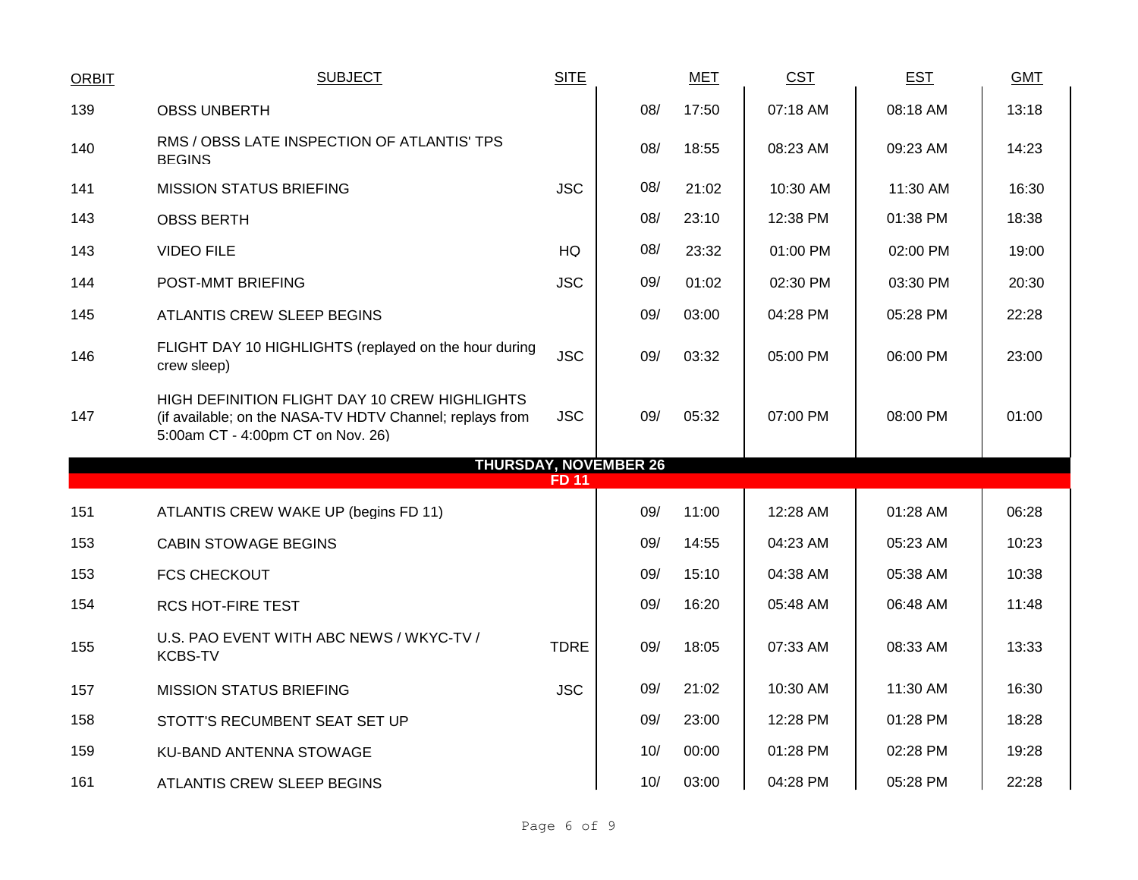| <b>ORBIT</b> | <b>SUBJECT</b>                                                                                                                                 | <b>SITE</b>  |                              | <b>MET</b> | <b>CST</b> | <b>EST</b> | <b>GMT</b> |
|--------------|------------------------------------------------------------------------------------------------------------------------------------------------|--------------|------------------------------|------------|------------|------------|------------|
| 139          | <b>OBSS UNBERTH</b>                                                                                                                            |              | 08/                          | 17:50      | 07:18 AM   | 08:18 AM   | 13:18      |
| 140          | RMS / OBSS LATE INSPECTION OF ATLANTIS' TPS<br><b>BEGINS</b>                                                                                   |              | 08/                          | 18:55      | 08:23 AM   | 09:23 AM   | 14:23      |
| 141          | <b>MISSION STATUS BRIEFING</b>                                                                                                                 | <b>JSC</b>   | 08/                          | 21:02      | 10:30 AM   | 11:30 AM   | 16:30      |
| 143          | <b>OBSS BERTH</b>                                                                                                                              |              | 08/                          | 23:10      | 12:38 PM   | 01:38 PM   | 18:38      |
| 143          | <b>VIDEO FILE</b>                                                                                                                              | HQ           | 08/                          | 23:32      | 01:00 PM   | 02:00 PM   | 19:00      |
| 144          | POST-MMT BRIEFING                                                                                                                              | <b>JSC</b>   | 09/                          | 01:02      | 02:30 PM   | 03:30 PM   | 20:30      |
| 145          | ATLANTIS CREW SLEEP BEGINS                                                                                                                     |              | 09/                          | 03:00      | 04:28 PM   | 05:28 PM   | 22:28      |
| 146          | FLIGHT DAY 10 HIGHLIGHTS (replayed on the hour during<br>crew sleep)                                                                           | <b>JSC</b>   | 09/                          | 03:32      | 05:00 PM   | 06:00 PM   | 23:00      |
| 147          | HIGH DEFINITION FLIGHT DAY 10 CREW HIGHLIGHTS<br>(if available; on the NASA-TV HDTV Channel; replays from<br>5:00am CT - 4:00pm CT on Nov. 26) | <b>JSC</b>   | 09/                          | 05:32      | 07:00 PM   | 08:00 PM   | 01:00      |
|              |                                                                                                                                                | <b>FD 11</b> | <b>THURSDAY, NOVEMBER 26</b> |            |            |            |            |
|              |                                                                                                                                                |              |                              |            |            |            |            |
| 151          | ATLANTIS CREW WAKE UP (begins FD 11)                                                                                                           |              | 09/                          | 11:00      | 12:28 AM   | 01:28 AM   | 06:28      |
| 153          | <b>CABIN STOWAGE BEGINS</b>                                                                                                                    |              | 09/                          | 14:55      | 04:23 AM   | 05:23 AM   | 10:23      |
| 153          | <b>FCS CHECKOUT</b>                                                                                                                            |              | 09/                          | 15:10      | 04:38 AM   | 05:38 AM   | 10:38      |
| 154          | <b>RCS HOT-FIRE TEST</b>                                                                                                                       |              | 09/                          | 16:20      | 05:48 AM   | 06:48 AM   | 11:48      |
| 155          | U.S. PAO EVENT WITH ABC NEWS / WKYC-TV /<br><b>KCBS-TV</b>                                                                                     | <b>TDRE</b>  | 09/                          | 18:05      | 07:33 AM   | 08:33 AM   | 13:33      |
| 157          | <b>MISSION STATUS BRIEFING</b>                                                                                                                 | <b>JSC</b>   | 09/                          | 21:02      | 10:30 AM   | 11:30 AM   | 16:30      |
| 158          | STOTT'S RECUMBENT SEAT SET UP                                                                                                                  |              | 09/                          | 23:00      | 12:28 PM   | 01:28 PM   | 18:28      |
| 159          | KU-BAND ANTENNA STOWAGE                                                                                                                        |              | 10/                          | 00:00      | 01:28 PM   | 02:28 PM   | 19:28      |
| 161          | <b>ATLANTIS CREW SLEEP BEGINS</b>                                                                                                              |              | 10/                          | 03:00      | 04:28 PM   | 05:28 PM   | 22:28      |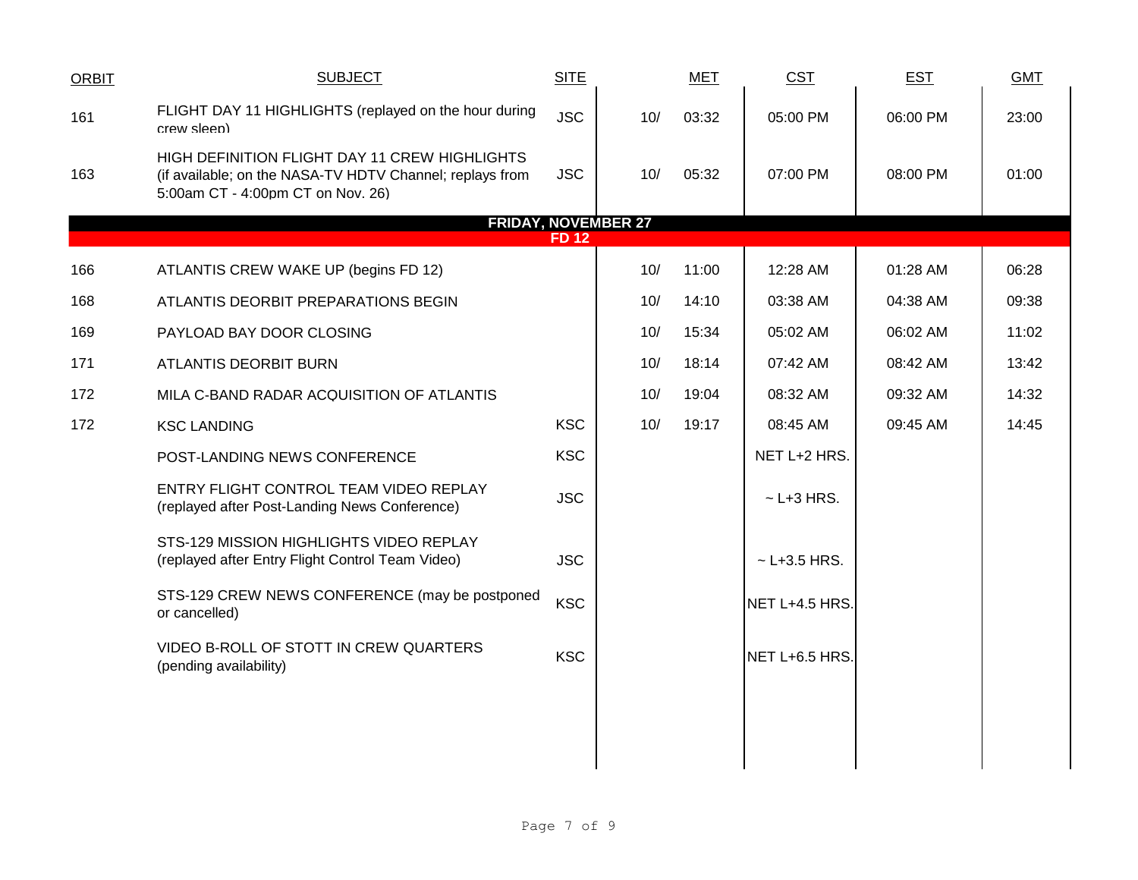| ORBIT | <b>SUBJECT</b>                                                                                                                                 | <b>SITE</b>  |     | <b>MET</b> | <b>CST</b>       | <b>EST</b> | <b>GMT</b> |
|-------|------------------------------------------------------------------------------------------------------------------------------------------------|--------------|-----|------------|------------------|------------|------------|
| 161   | FLIGHT DAY 11 HIGHLIGHTS (replayed on the hour during<br>crew sleep)                                                                           | <b>JSC</b>   | 10/ | 03:32      | 05:00 PM         | 06:00 PM   | 23:00      |
| 163   | HIGH DEFINITION FLIGHT DAY 11 CREW HIGHLIGHTS<br>(if available; on the NASA-TV HDTV Channel; replays from<br>5:00am CT - 4:00pm CT on Nov. 26) | <b>JSC</b>   | 10/ | 05:32      | 07:00 PM         | 08:00 PM   | 01:00      |
|       | <b>FRIDAY, NOVEMBER 27</b>                                                                                                                     |              |     |            |                  |            |            |
|       |                                                                                                                                                | <b>FD 12</b> |     |            |                  |            |            |
| 166   | ATLANTIS CREW WAKE UP (begins FD 12)                                                                                                           |              | 10/ | 11:00      | 12:28 AM         | 01:28 AM   | 06:28      |
| 168   | ATLANTIS DEORBIT PREPARATIONS BEGIN                                                                                                            |              | 10/ | 14:10      | 03:38 AM         | 04:38 AM   | 09:38      |
| 169   | PAYLOAD BAY DOOR CLOSING                                                                                                                       |              | 10/ | 15:34      | 05:02 AM         | 06:02 AM   | 11:02      |
| 171   | ATLANTIS DEORBIT BURN                                                                                                                          |              | 10/ | 18:14      | 07:42 AM         | 08:42 AM   | 13:42      |
| 172   | MILA C-BAND RADAR ACQUISITION OF ATLANTIS                                                                                                      |              | 10/ | 19:04      | 08:32 AM         | 09:32 AM   | 14:32      |
| 172   | <b>KSC LANDING</b>                                                                                                                             | <b>KSC</b>   | 10/ | 19:17      | 08:45 AM         | 09:45 AM   | 14:45      |
|       | POST-LANDING NEWS CONFERENCE                                                                                                                   | <b>KSC</b>   |     |            | NET L+2 HRS.     |            |            |
|       | ENTRY FLIGHT CONTROL TEAM VIDEO REPLAY<br>(replayed after Post-Landing News Conference)                                                        | <b>JSC</b>   |     |            | $\sim$ L+3 HRS.  |            |            |
|       | STS-129 MISSION HIGHLIGHTS VIDEO REPLAY<br>(replayed after Entry Flight Control Team Video)                                                    | <b>JSC</b>   |     |            | $~$ - L+3.5 HRS. |            |            |
|       | STS-129 CREW NEWS CONFERENCE (may be postponed<br>or cancelled)                                                                                | <b>KSC</b>   |     |            | NET L+4.5 HRS.   |            |            |
|       | VIDEO B-ROLL OF STOTT IN CREW QUARTERS<br>(pending availability)                                                                               | <b>KSC</b>   |     |            | NET L+6.5 HRS.   |            |            |
|       |                                                                                                                                                |              |     |            |                  |            |            |
|       |                                                                                                                                                |              |     |            |                  |            |            |
|       |                                                                                                                                                |              |     |            |                  |            |            |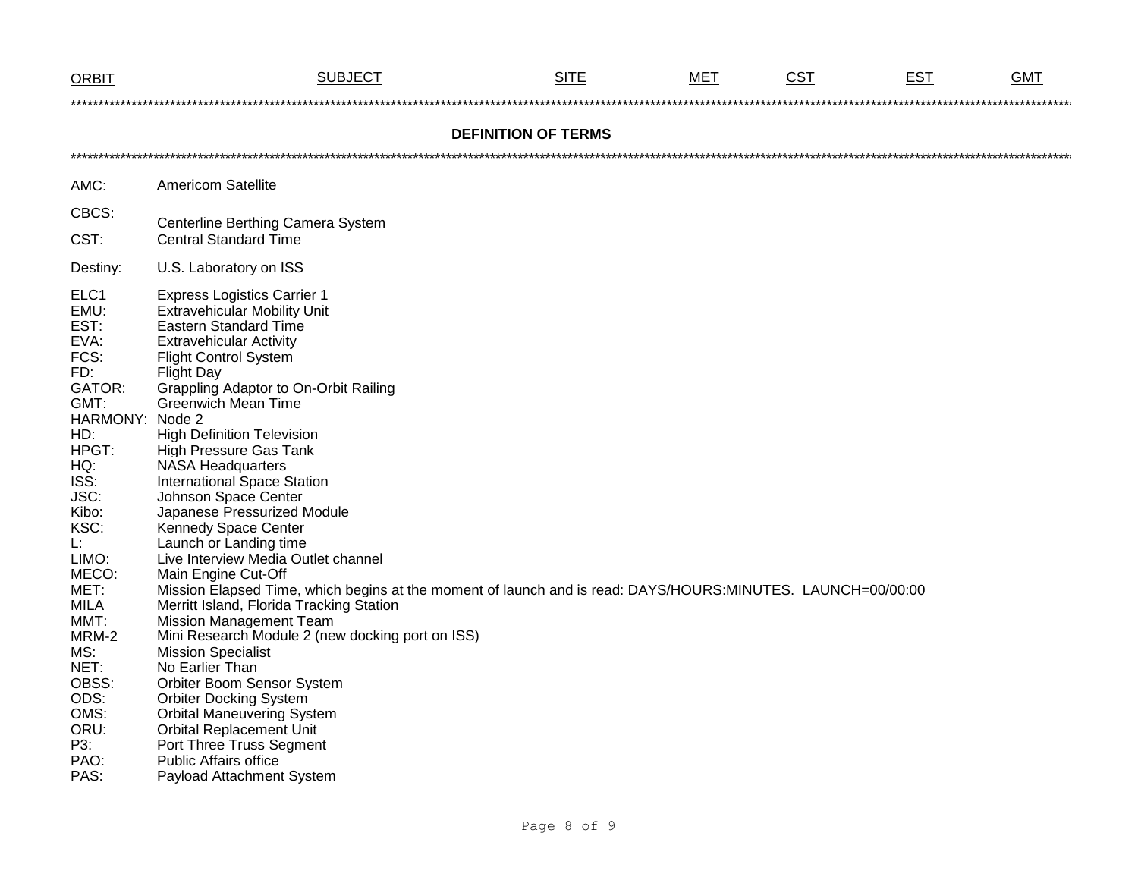| <b>ORBIT</b>                                                                                                                                                                                                                                                                    | SUBJECT                                                                                                                                                                                                                                                                                                                                                                                                                                                                                                                                                                                                                                                                                                                                                                                                                                                                                                                                                                                                                                                                                                          | <b>SITE</b>                | MET | <b>CST</b> | <b>EST</b> | <b>GMT</b> |  |  |  |
|---------------------------------------------------------------------------------------------------------------------------------------------------------------------------------------------------------------------------------------------------------------------------------|------------------------------------------------------------------------------------------------------------------------------------------------------------------------------------------------------------------------------------------------------------------------------------------------------------------------------------------------------------------------------------------------------------------------------------------------------------------------------------------------------------------------------------------------------------------------------------------------------------------------------------------------------------------------------------------------------------------------------------------------------------------------------------------------------------------------------------------------------------------------------------------------------------------------------------------------------------------------------------------------------------------------------------------------------------------------------------------------------------------|----------------------------|-----|------------|------------|------------|--|--|--|
|                                                                                                                                                                                                                                                                                 |                                                                                                                                                                                                                                                                                                                                                                                                                                                                                                                                                                                                                                                                                                                                                                                                                                                                                                                                                                                                                                                                                                                  |                            |     |            |            |            |  |  |  |
|                                                                                                                                                                                                                                                                                 |                                                                                                                                                                                                                                                                                                                                                                                                                                                                                                                                                                                                                                                                                                                                                                                                                                                                                                                                                                                                                                                                                                                  | <b>DEFINITION OF TERMS</b> |     |            |            |            |  |  |  |
|                                                                                                                                                                                                                                                                                 |                                                                                                                                                                                                                                                                                                                                                                                                                                                                                                                                                                                                                                                                                                                                                                                                                                                                                                                                                                                                                                                                                                                  |                            |     |            |            |            |  |  |  |
| AMC:                                                                                                                                                                                                                                                                            | <b>Americom Satellite</b>                                                                                                                                                                                                                                                                                                                                                                                                                                                                                                                                                                                                                                                                                                                                                                                                                                                                                                                                                                                                                                                                                        |                            |     |            |            |            |  |  |  |
| CBCS:                                                                                                                                                                                                                                                                           | Centerline Berthing Camera System                                                                                                                                                                                                                                                                                                                                                                                                                                                                                                                                                                                                                                                                                                                                                                                                                                                                                                                                                                                                                                                                                |                            |     |            |            |            |  |  |  |
| CST:                                                                                                                                                                                                                                                                            | <b>Central Standard Time</b>                                                                                                                                                                                                                                                                                                                                                                                                                                                                                                                                                                                                                                                                                                                                                                                                                                                                                                                                                                                                                                                                                     |                            |     |            |            |            |  |  |  |
| Destiny:                                                                                                                                                                                                                                                                        | U.S. Laboratory on ISS                                                                                                                                                                                                                                                                                                                                                                                                                                                                                                                                                                                                                                                                                                                                                                                                                                                                                                                                                                                                                                                                                           |                            |     |            |            |            |  |  |  |
| ELC1<br>EMU:<br>EST:<br>EVA:<br>FCS:<br>FD:<br>GATOR:<br>GMT:<br>HARMONY: Node 2<br>HD:<br>HPGT:<br>HQ:<br>ISS:<br>JSC:<br>Kibo:<br>KSC:<br>Ŀ.<br>LIMO:<br>MECO:<br>MET:<br><b>MILA</b><br>MMT:<br>MRM-2<br>MS:<br>NET:<br>OBSS:<br>ODS:<br>OMS:<br>ORU:<br>P3:<br>PAO:<br>PAS: | <b>Express Logistics Carrier 1</b><br><b>Extravehicular Mobility Unit</b><br><b>Eastern Standard Time</b><br><b>Extravehicular Activity</b><br><b>Flight Control System</b><br><b>Flight Day</b><br>Grappling Adaptor to On-Orbit Railing<br><b>Greenwich Mean Time</b><br><b>High Definition Television</b><br>High Pressure Gas Tank<br><b>NASA Headquarters</b><br><b>International Space Station</b><br>Johnson Space Center<br>Japanese Pressurized Module<br>Kennedy Space Center<br>Launch or Landing time<br>Live Interview Media Outlet channel<br>Main Engine Cut-Off<br>Mission Elapsed Time, which begins at the moment of launch and is read: DAYS/HOURS:MINUTES. LAUNCH=00/00:00<br>Merritt Island, Florida Tracking Station<br><b>Mission Management Team</b><br>Mini Research Module 2 (new docking port on ISS)<br><b>Mission Specialist</b><br>No Earlier Than<br>Orbiter Boom Sensor System<br><b>Orbiter Docking System</b><br><b>Orbital Maneuvering System</b><br><b>Orbital Replacement Unit</b><br>Port Three Truss Segment<br><b>Public Affairs office</b><br>Payload Attachment System |                            |     |            |            |            |  |  |  |